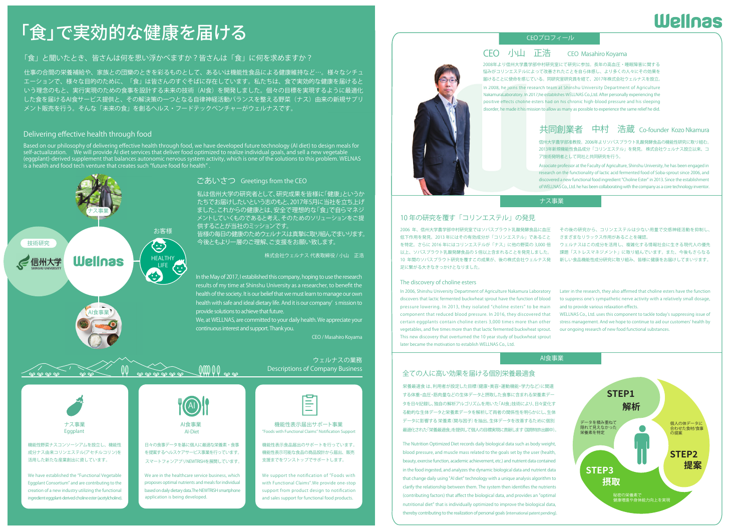## 「食」で実効的な健康を届ける

#### 「食」と聞いたとき、皆さんは何を思い浮かべますか?皆さんは「食」に何を求めますか?

仕事の合間の栄養補給や、家族との団欒のときを彩るものとして、あるいは機能性食品による健康維持など…。様々なシチュ エーションで、様々な目的のために、「食」は皆さんのすぐそばに存在しています。私たちは、食で実効的な健康を届けるとした食を届けるAI食サービス提供と、その解決策の一つとなる自律神経活動バランスを整える野菜(ナス)由来の新規サプリ いう理念のもと、実行実現のための食事を設計する未来の技術(AI食)を開発しました。個々の目標を実現するように最適化メント販売を行う。そんな「未来の食」を創るヘルス・フードテックベンチャーがウェルナスです。

#### Delivering effective health through food

Based on our philosophy of delivering effective health through food, we have developed future technology (AI diet) to design meals for<br>self-actualization. We will provide AI diet services that deliver food optimized to





機能性野菜ナスコンソーシアムを設立し、機能性成分ナス由来コリンエステル(アセチルコリン)を活用した新たな産業創出に資しています。

We have established the "Functional Vegetable Eggplant Consortium" and are contributing to the creation of a new industry utilizing the functional ingredient eggplant-derived choline ester (acetylcholine).



 $10000$  m

#### 日々の食事データを基に個人に最適な栄養素・食事を提案するヘルスケアサービス事業を行っています。スマートフォンアプリNEWTRISHを展開しています。

We are in the healthcare service business, which proposes optimal nutrients and meals for individual based on daily dietary data.The NEWTRISH smartphone application is being developed.

# ⊫

In the May of 2017, I established this company, hoping to use the research results of my time at Shinshu University as <sup>a</sup> researcher, to benefit the health of the society. It is our belief that we must learn to manage our own health with safe and ideal dietary life. And it is our company's mission to

私は信州大学の研究者として、研究成果を皆様に「健康」というか たちでお届けしたいという志のもと、2017年5月に当社を立ち上げ ました。これからの健康とは、安全で理想的な「食」で自らマネジメントしていくものであると考え、そのためのソリューションをご提

皆様の毎日の健康のためウェルナスは真摯に取り組んでまいります。 今後ともより一層のご理解、ご支援をお願い致します。

We, at WELLNAS, are committed to your daily health. We appreciate your

provide solutions to achieve that future.

continuous interest and support. Thank you.

ごあいさつ Greetings from the CEO

供することが当社のミッションです。

Eggplant AI-Diet "Foods with Functional Claims" Notification Support AI食事業 インファイン インディー 機能性表示届出サポート事業

Descriptions of Company Business

株式会社ウェルナス 代表取締役 / 小山 正浩

ウェルナスの業務

CEO / Masahiro Koyama

#### 機能性表示食品届出のサポートを行っています。機能性表示可能な食品の商品設計から届出、販売支援までをワンストップでサポートします。

We support the notification of "Foods with with Functional Claims".We provide one-stop support from product design to notification and sales support for functional food products.



#### CEOプロフィール

#### CEO Masahiro Koyama C小山 正浩CEOCEO小山 正浩CEO

悩みがコリンエステルによって改善されたことを自ら体感し、より多くの人々にその効果を届けることに使命を感じている。同研究室研究員を経て、2017年株式会社ウェルナスを設立。

In 2008, he joins the research team at Shinshu University Department of Agriculture NakamuraLaboratory. In 2017,he establishes WELLNAS Co.,Ltd. After personally experiencing the positive effects choline esters had on his chronic high-blood pressure and his sleeping disorder, he made it his mission to allow as many as possible to experience the same relief he did.

#### 共同創業者 中村 浩蔵 Co-founder Kozo Nkamura

信州大学農学部准教授。2006年よりソバスプラウト乳酸発酵食品の機能性研究に取り組む。2013年新規機能性食品成分「コリンエステル」を発見。 株式会社ウェルナス設立以来、コア技術発明者として同社と共同研究を行う。

Associate professor at the Faculty of Agriculture, Shinshu University, he has been engaged in research on the functionality of lactic acid fermented food of Soba-sprout since 2006, and discovered a new functional food ingredient "Choline Ester" in 2013. Since the establishment of WELLNAS Co., Ltd. he has been collaborating with the company as a core technology inventor.

#### ナス事業

#### 10 年の研究を覆す「コリンエステル」の発見

2006 年、信州大学農学部中村研究室ではソバスプラウト乳酸発酵食品に血圧 その後の研究から、コリンエステルは少ない用量で交感神経活動を抑制し、低下作用を発見。2013 年にはその有効成分が「コリンエステル」であること を特定。さらに 2016 年にはコリンエステルが「ナス」に他の野菜の 3,000 倍 以上、ソバスプラウト乳酸発酵食品の 5 倍以上含まれることを発見しました。 10 年間のソバスプラウト研究を覆すこの成果が、後の株式会社ウェルナス発 足に繋がる大きなきっかけとなりました。

#### The discovery of choline esters

In 2006, Shinshu University Department of Agriculture Nakamura Laboratory discovers that lactic fermented buckwheat sprout have the function of blood pressure lowering. In 2013, they isolated "choline esters" to be main component that reduced blood pressure. In 2016, they discovered that certain eggplants contain choline esters 3,000 times more than other vegetables, and five times more than that lactic fermented buckwheat sprout. This new discovery that overturned the 10 year study of buckwheat sprout later became the motivation to establish WELLNAS Co., Ltd.

#### さまざまなリラックス作用があることを確認。ウェルナスはこの成分を活用し、複雑化する情報社会に生きる現代人の優先課題「ストレスマネジメント」に取り組んでいます。また、今後もさらなる新しい食品機能性成分研究に取り組み、皆様に健康をお届けしてまいります。

Later in the research, they also affirmed that choline esters have the function to suppress one's sympathetic nerve activity with a relatively small dosage, and to provide various relaxation effects.

WELLNAS Co., Ltd. uses this component to tackle today's suppressing issue of stress management. And we hope to continue to aid our customers' health by our ongoing research of new food functional substances.

#### AI食事業

#### 全ての人に高い効果を届ける個別栄養最適食

栄養最適食 は、利用者が設定した目標(健康・美容・運動機能・学力など)に関連する体重・血圧・筋肉量などの生体データと摂取した食事に含まれる栄養素データを日々記録し、独自の解析アルゴリズムを用いた「AI食」技術により、日々変化する動的な生体データと栄養素データを解析して両者の関係性を明らかにし、生体データに影響する 栄養素(関与因子)を抽出、生体データを改善するために個別最適化された「栄養最適食」を提供して個人の目標実現に貢献します(国際特許出願中)。

The Nutrition Optimized Diet records daily biological data such as body weight, blood pressure, and muscle mass related to the goals set by the user (health, beauty, exercise function, academic achievement, etc.) and nutrient data contained in the food ingested, and analyzes the dynamic biological data and nutrient data that change daily using "AI diet" technology with a unique analysis algorithm to clarify the relationship between them. The system then identifies the nutrients (contributing factors) that affect the biological data, and provides an "optimal nutritional diet" that is individually optimized to improve the biological data, thereby contributing to the realization of personal goals (international patent pending).



## **Wellnas**